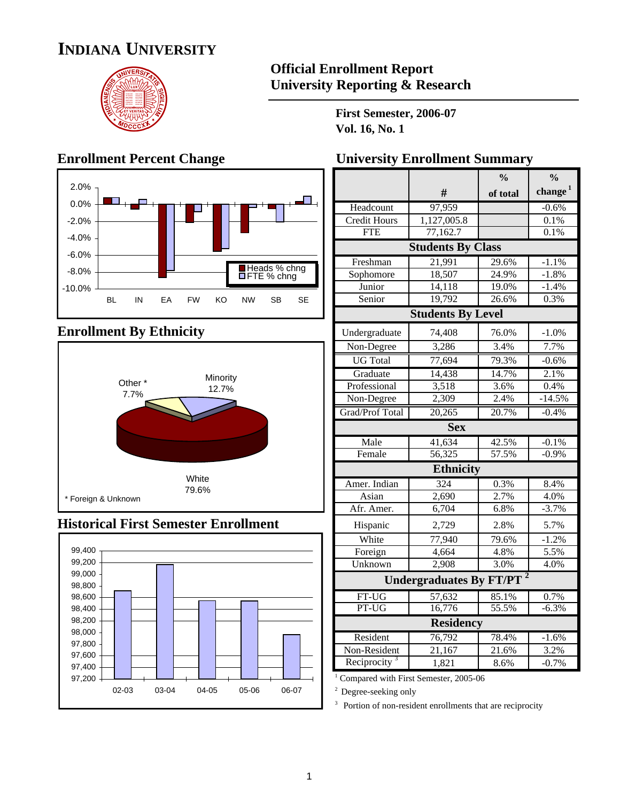# **INDIANA UNIVERSITY**



## **Official Enrollment Report University Reporting & Research**

**First Semester, 2006-07 Vol. 16, No. 1**

# **Enrollment Percent Change**



# **Enrollment By Ethnicity**



### **Historical First Semester Enrollment**



| <b>University Enrollment Summary</b> |  |  |  |  |
|--------------------------------------|--|--|--|--|
|--------------------------------------|--|--|--|--|

|                          |                                | $\frac{0}{0}$ | $\frac{0}{0}$ |
|--------------------------|--------------------------------|---------------|---------------|
|                          | #                              | of total      | change $1$    |
| Headcount                | 97,959                         |               | $-0.6%$       |
| <b>Credit Hours</b>      | 1,127,005.8                    |               | 0.1%          |
| <b>FTE</b>               | 77,162.7                       |               | 0.1%          |
|                          | <b>Students By Class</b>       |               |               |
| Freshman                 | 21,991                         | 29.6%         | $-1.1%$       |
| Sophomore                | 18,507                         | 24.9%         | $-1.8%$       |
| Junior                   | 14,118                         | 19.0%         | $-1.4%$       |
| Senior                   | 19,792                         | 26.6%         | 0.3%          |
|                          | <b>Students By Level</b>       |               |               |
| Undergraduate            | 74,408                         | 76.0%         | $-1.0%$       |
| Non-Degree               | 3,286                          | 3.4%          | 7.7%          |
| <b>UG</b> Total          | 77,694                         | 79.3%         | $-0.6%$       |
| Graduate                 | 14,438                         | 14.7%         | 2.1%          |
| Professional             | 3,518                          | 3.6%          | 0.4%          |
| Non-Degree               | 2,309                          | 2.4%          | $-14.5%$      |
| Grad/Prof Total          | 20,265                         | 20.7%         | $-0.4%$       |
|                          | <b>Sex</b>                     |               |               |
| Male                     | 41,634                         | 42.5%         | $-0.1%$       |
| Female                   | 56,325                         | 57.5%         | $-0.9%$       |
|                          | <b>Ethnicity</b>               |               |               |
| Amer. Indian             | 324                            | 0.3%          | 8.4%          |
| Asian                    | 2,690                          | 2.7%          | 4.0%          |
| Afr. Amer.               | 6,704                          | 6.8%          | $-3.7%$       |
| Hispanic                 | 2,729                          | 2.8%          | 5.7%          |
| White                    | 77,940                         | 79.6%         | $-1.2%$       |
| Foreign                  | 4,664                          | 4.8%          | 5.5%          |
| Unknown                  | 2,908                          | 3.0%          | 4.0%          |
|                          | <b>Undergraduates By FT/PT</b> |               |               |
| FT-UG                    | 57,632                         | 85.1%         | 0.7%          |
| PT-UG                    | 16,776                         | 55.5%         | $-6.3%$       |
|                          | <b>Residency</b>               |               |               |
| Resident                 | 76,792                         | 78.4%         | $-1.6%$       |
| Non-Resident             | 21,167                         | 21.6%         | 3.2%          |
| Reciprocity <sup>3</sup> | 1,821                          | 8.6%          | $-0.7%$       |

<sup>1</sup> Compared with First Semester, 2005-06

<sup>2</sup> Degree-seeking only

<sup>3</sup> Portion of non-resident enrollments that are reciprocity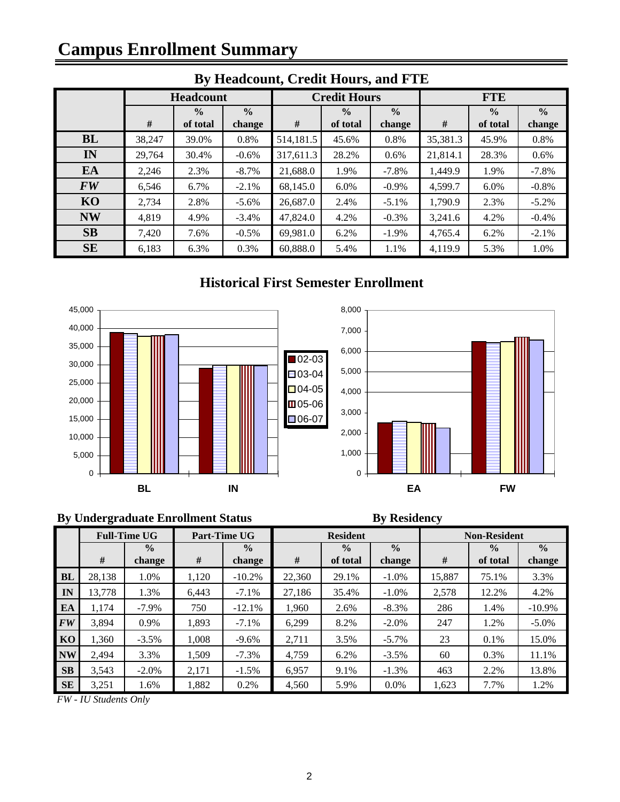# **Campus Enrollment Summary**

| Dy Headcount, Create Hours, and I TD |                                |                  |          |               |                     |          |               |               |          |  |
|--------------------------------------|--------------------------------|------------------|----------|---------------|---------------------|----------|---------------|---------------|----------|--|
|                                      |                                | <b>Headcount</b> |          |               | <b>Credit Hours</b> |          |               | <b>FTE</b>    |          |  |
|                                      | $\frac{0}{0}$<br>$\frac{0}{0}$ |                  |          | $\frac{0}{0}$ | $\frac{0}{0}$       |          | $\frac{0}{0}$ | $\frac{0}{0}$ |          |  |
|                                      | #                              | of total         | change   | #             | of total            | change   | #             | of total      | change   |  |
| <b>BL</b>                            | 38,247                         | 39.0%            | 0.8%     | 514,181.5     | 45.6%               | 0.8%     | 35,381.3      | 45.9%         | 0.8%     |  |
| IN                                   | 29,764                         | 30.4%            | $-0.6%$  | 317,611.3     | 28.2%               | $0.6\%$  | 21,814.1      | 28.3%         | 0.6%     |  |
| EA                                   | 2,246                          | 2.3%             | $-8.7\%$ | 21,688.0      | 1.9%                | $-7.8\%$ | 1,449.9       | 1.9%          | $-7.8\%$ |  |
| <b>FW</b>                            | 6,546                          | 6.7%             | $-2.1%$  | 68,145.0      | $6.0\%$             | $-0.9\%$ | 4,599.7       | $6.0\%$       | $-0.8%$  |  |
| KO                                   | 2,734                          | 2.8%             | $-5.6\%$ | 26,687.0      | 2.4%                | $-5.1\%$ | 1,790.9       | 2.3%          | $-5.2\%$ |  |
| <b>NW</b>                            | 4,819                          | 4.9%             | $-3.4%$  | 47,824.0      | 4.2%                | $-0.3%$  | 3,241.6       | 4.2%          | $-0.4%$  |  |
| SB                                   | 7,420                          | 7.6%             | $-0.5%$  | 69,981.0      | 6.2%                | $-1.9\%$ | 4,765.4       | 6.2%          | $-2.1%$  |  |
| <b>SE</b>                            | 6,183                          | 6.3%             | 0.3%     | 60,888.0      | 5.4%                | 1.1%     | 4,119.9       | 5.3%          | 1.0%     |  |
|                                      |                                |                  |          |               |                     |          |               |               |          |  |

# **By Headcount, Credit Hours, and FTE**

# **Historical First Semester Enrollment**



#### **By Undergraduate Enrollment Status By Residency**

|           | <b>Full-Time UG</b> |                         |       | Part-Time UG            |        | <b>Resident</b>           |                         |        | <b>Non-Resident</b>       |                         |
|-----------|---------------------|-------------------------|-------|-------------------------|--------|---------------------------|-------------------------|--------|---------------------------|-------------------------|
|           | #                   | $\frac{0}{0}$<br>change | #     | $\frac{0}{0}$<br>change | #      | $\frac{0}{0}$<br>of total | $\frac{0}{0}$<br>change | #      | $\frac{0}{0}$<br>of total | $\frac{0}{0}$<br>change |
| <b>BL</b> | 28.138              | 1.0%                    | 1,120 | $-10.2%$                | 22,360 | 29.1%                     | $-1.0\%$                | 15,887 | 75.1%                     | 3.3%                    |
| IN        | 13,778              | 1.3%                    | 6,443 | $-7.1%$                 | 27.186 | 35.4%                     | $-1.0\%$                | 2,578  | 12.2%                     | 4.2%                    |
| EA        | 1.174               | $-7.9\%$                | 750   | $-12.1%$                | 1.960  | 2.6%                      | $-8.3\%$                | 286    | 1.4%                      | $-10.9\%$               |
| <b>FW</b> | 3.894               | 0.9%                    | 1.893 | $-7.1%$                 | 6.299  | 8.2%                      | $-2.0\%$                | 247    | 1.2%                      | $-5.0\%$                |
| KO        | 1.360               | $-3.5%$                 | 1.008 | $-9.6%$                 | 2,711  | 3.5%                      | $-5.7\%$                | 23     | 0.1%                      | 15.0%                   |
| <b>NW</b> | 2.494               | 3.3%                    | 1.509 | $-7.3\%$                | 4.759  | 6.2%                      | $-3.5\%$                | 60     | 0.3%                      | 11.1%                   |
| <b>SB</b> | 3,543               | $-2.0\%$                | 2,171 | $-1.5\%$                | 6.957  | 9.1%                      | $-1.3\%$                | 463    | 2.2%                      | 13.8%                   |
| <b>SE</b> | 3,251               | 1.6%                    | 1,882 | 0.2%                    | 4,560  | 5.9%                      | $0.0\%$                 | 1,623  | 7.7%                      | 1.2%                    |

*FW - IU Students Only*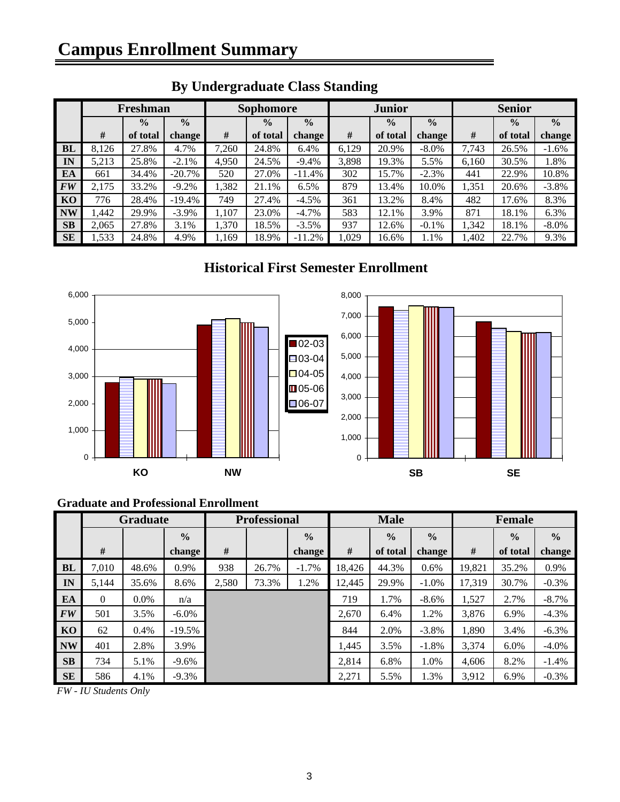|           | Freshman |               |               |       | <b>Sophomore</b> |               |       | <b>Junior</b> |               |       | <b>Senior</b> |               |
|-----------|----------|---------------|---------------|-------|------------------|---------------|-------|---------------|---------------|-------|---------------|---------------|
|           |          | $\frac{0}{0}$ | $\frac{0}{0}$ |       | $\frac{0}{0}$    | $\frac{0}{0}$ |       | $\frac{0}{0}$ | $\frac{0}{0}$ |       | $\frac{0}{0}$ | $\frac{0}{0}$ |
|           | #        | of total      | change        | #     | of total         | change        | #     | of total      | change        | #     | of total      | change        |
| <b>BL</b> | 8,126    | 27.8%         | 4.7%          | 7,260 | 24.8%            | 6.4%          | 6,129 | 20.9%         | $-8.0\%$      | 7,743 | 26.5%         | $-1.6%$       |
| IN        | 5,213    | 25.8%         | $-2.1\%$      | 4,950 | 24.5%            | $-9.4%$       | 3,898 | 19.3%         | 5.5%          | 6,160 | 30.5%         | 1.8%          |
| EA        | 661      | 34.4%         | $-20.7\%$     | 520   | 27.0%            | $-11.4%$      | 302   | 15.7%         | $-2.3%$       | 441   | 22.9%         | 10.8%         |
| <b>FW</b> | 2,175    | 33.2%         | $-9.2%$       | 1,382 | 21.1%            | 6.5%          | 879   | 13.4%         | 10.0%         | 1,351 | 20.6%         | $-3.8\%$      |
| KO        | 776      | 28.4%         | $-19.4%$      | 749   | 27.4%            | $-4.5%$       | 361   | 13.2%         | 8.4%          | 482   | 17.6%         | 8.3%          |
| <b>NW</b> | 1.442    | 29.9%         | $-3.9\%$      | 1,107 | 23.0%            | $-4.7\%$      | 583   | 12.1%         | 3.9%          | 871   | 18.1%         | 6.3%          |
| <b>SB</b> | 2,065    | 27.8%         | 3.1%          | 1,370 | 18.5%            | $-3.5%$       | 937   | 12.6%         | $-0.1\%$      | 1,342 | 18.1%         | $-8.0\%$      |
| <b>SE</b> | 1,533    | 24.8%         | 4.9%          | 1,169 | 18.9%            | $-11.2%$      | 1.029 | 16.6%         | 1.1%          | l,402 | 22.7%         | 9.3%          |

# **By Undergraduate Class Standing**

## **Historical First Semester Enrollment**



#### **Graduate and Professional Enrollment**

|           | <b>Graduate</b> |         |               | <b>Professional</b> |       |               | <b>Male</b> |               |               | Female |               |               |
|-----------|-----------------|---------|---------------|---------------------|-------|---------------|-------------|---------------|---------------|--------|---------------|---------------|
|           |                 |         | $\frac{0}{0}$ |                     |       | $\frac{0}{0}$ |             | $\frac{0}{0}$ | $\frac{0}{0}$ |        | $\frac{0}{0}$ | $\frac{0}{0}$ |
|           | #               |         | change        | #                   |       | change        | $\#$        | of total      | change        | #      | of total      | change        |
| <b>BL</b> | 7,010           | 48.6%   | 0.9%          | 938                 | 26.7% | $-1.7%$       | 18,426      | 44.3%         | 0.6%          | 19,821 | 35.2%         | 0.9%          |
| IN        | 5,144           | 35.6%   | 8.6%          | 2,580               | 73.3% | 1.2%          | 12,445      | 29.9%         | $-1.0\%$      | 17,319 | 30.7%         | $-0.3%$       |
| EA        | $\Omega$        | $0.0\%$ | n/a           |                     |       |               | 719         | 1.7%          | $-8.6\%$      | 1,527  | 2.7%          | $-8.7\%$      |
| <b>FW</b> | 501             | 3.5%    | $-6.0\%$      |                     |       |               | 2.670       | 6.4%          | 1.2%          | 3,876  | 6.9%          | $-4.3%$       |
| KO        | 62              | 0.4%    | $-19.5%$      |                     |       |               | 844         | 2.0%          | $-3.8\%$      | 1,890  | 3.4%          | $-6.3\%$      |
| <b>NW</b> | 401             | 2.8%    | 3.9%          |                     |       |               | 1,445       | 3.5%          | $-1.8%$       | 3,374  | $6.0\%$       | $-4.0\%$      |
| <b>SB</b> | 734             | 5.1%    | $-9.6%$       |                     |       |               | 2.814       | 6.8%          | 1.0%          | 4,606  | 8.2%          | $-1.4%$       |
| SE        | 586             | 4.1%    | $-9.3%$       |                     |       |               | 2,271       | 5.5%          | 1.3%          | 3,912  | 6.9%          | $-0.3%$       |

*FW - IU Students Only*